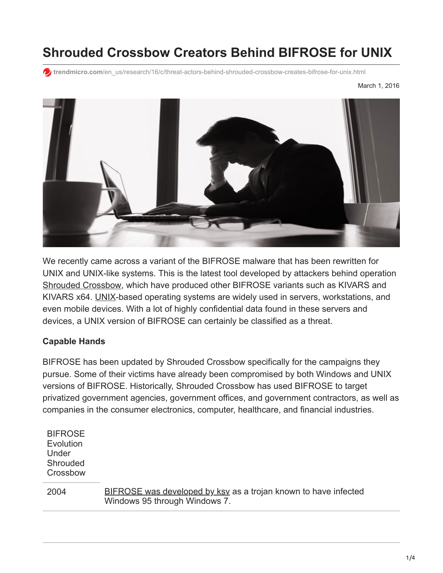# **Shrouded Crossbow Creators Behind BIFROSE for UNIX**

**trendmicro.com**[/en\\_us/research/16/c/threat-actors-behind-shrouded-crossbow-creates-bifrose-for-unix.html](https://www.trendmicro.com/en_us/research/16/c/threat-actors-behind-shrouded-crossbow-creates-bifrose-for-unix.html)



We recently came across a variant of the BIFROSE malware that has been rewritten for UNIX and UNIX-like systems. This is the latest tool developed by attackers behind operation [Shrouded Crossbow,](http://blog.trendmicro.com/trendlabs-security-intelligence/new-targeted-attack-group-buys-bifrose-code-works-in-teams/) which have produced other BIFROSE variants such as KIVARS and KIVARS x64. [UNIX](http://www.computerworld.com/article/3028066/linux/half-a-dozen-ways-to-look-at-unix-processes.html)-based operating systems are widely used in servers, workstations, and even mobile devices. With a lot of highly confidential data found in these servers and devices, a UNIX version of BIFROSE can certainly be classified as a threat.

#### **Capable Hands**

BIFROSE has been updated by Shrouded Crossbow specifically for the campaigns they pursue. Some of their victims have already been compromised by both Windows and UNIX versions of BIFROSE. Historically, Shrouded Crossbow has used BIFROSE to target privatized government agencies, government offices, and government contractors, as well as companies in the consumer electronics, computer, healthcare, and financial industries.

| <b>BIFROSE</b><br>Evolution<br>Under<br>Shrouded<br>Crossbow |                                                                                                  |
|--------------------------------------------------------------|--------------------------------------------------------------------------------------------------|
| 2004                                                         | BIFROSE was developed by ksv as a trojan known to have infected<br>Windows 95 through Windows 7. |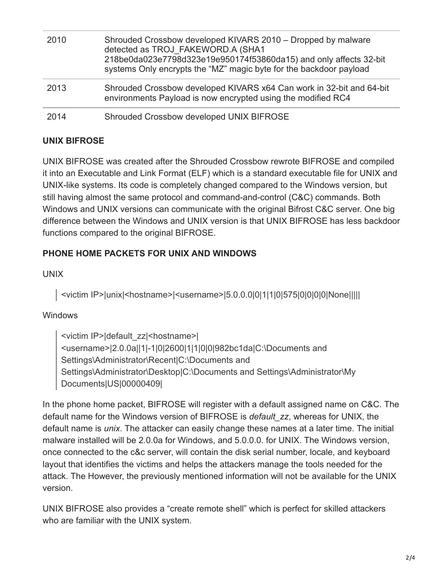| 2010 | Shrouded Crossbow developed KIVARS 2010 – Dropped by malware<br>detected as TROJ FAKEWORD.A (SHA1<br>218be0da023e7798d323e19e950174f53860da15) and only affects 32-bit<br>systems Only encrypts the "MZ" magic byte for the backdoor payload |
|------|----------------------------------------------------------------------------------------------------------------------------------------------------------------------------------------------------------------------------------------------|
| 2013 | Shrouded Crossbow developed KIVARS x64 Can work in 32-bit and 64-bit<br>environments Payload is now encrypted using the modified RC4                                                                                                         |
| 2014 | Shrouded Crossbow developed UNIX BIFROSE                                                                                                                                                                                                     |

### **UNIX BIFROSE**

UNIX BIFROSE was created after the Shrouded Crossbow rewrote BIFROSE and compiled it into an Executable and Link Format (ELF) which is a standard executable file for UNIX and UNIX-like systems. Its code is completely changed compared to the Windows version, but still having almost the same protocol and command-and-control (C&C) commands. Both Windows and UNIX versions can communicate with the original Bifrost C&C server. One big difference between the Windows and UNIX version is that UNIX BIFROSE has less backdoor functions compared to the original BIFROSE.

# **PHONE HOME PACKETS FOR UNIX AND WINDOWS**

### UNIX

<victim IP>|unix|<hostname>|<username>|5.0.0.0|0|1|1|0|575|0|0|0|0|None|||||

### Windows

<victim IP>|default\_zz|<hostname>| <username>|2.0.0a||1|-1|0|2600|1|1|0|0|982bc1da|C:\Documents and Settings\Administrator\Recent|C:\Documents and Settings\Administrator\Desktop|C:\Documents and Settings\Administrator\My Documents|US|00000409|

In the phone home packet, BIFROSE will register with a default assigned name on C&C. The default name for the Windows version of BIFROSE is *default\_zz*, whereas for UNIX, the default name is *unix*. The attacker can easily change these names at a later time. The initial malware installed will be 2.0.0a for Windows, and 5.0.0.0. for UNIX. The Windows version, once connected to the c&c server, will contain the disk serial number, locale, and keyboard layout that identifies the victims and helps the attackers manage the tools needed for the attack. The However, the previously mentioned information will not be available for the UNIX version.

UNIX BIFROSE also provides a "create remote shell" which is perfect for skilled attackers who are familiar with the UNIX system.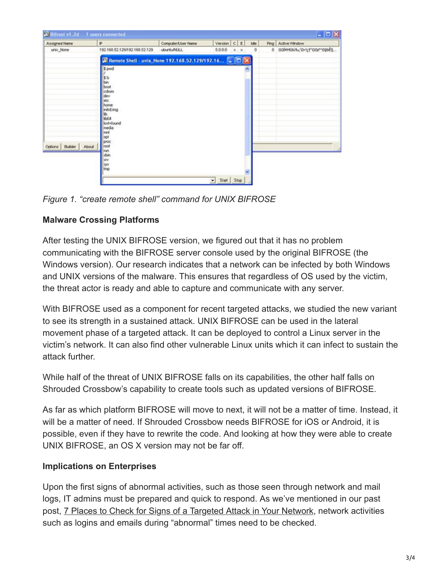| Assigned Name         | P                                                                                                                                                                                          | Computer/User Name | Version C E |         | kte                 | Ping Active Window       |
|-----------------------|--------------------------------------------------------------------------------------------------------------------------------------------------------------------------------------------|--------------------|-------------|---------|---------------------|--------------------------|
| unix_None             | 192.168.52.129/192.168.52.129                                                                                                                                                              | uburtuN.LL         | 5.0.0.0     | $x - x$ | $\ddot{\mathbf{0}}$ | 0 DOMHOUS D-91"DOF"010ES |
|                       | Remote Shell - unix_None 192.168.52.129/192.16                                                                                                                                             |                    |             |         |                     |                          |
| Options Builder About | \$ pwd<br>$\frac{1}{5}$ ls<br>boot<br>cdrom<br>dev<br>etc<br>home<br>initid img<br>lЪ.<br>IbE4<br>lost+found<br>media<br>lewi<br>loot<br>proc<br>npot<br>nun<br>sbin<br>try.<br>sys<br>tmp |                    |             |         |                     |                          |

*Figure 1. "create remote shell" command for UNIX BIFROSE*

## **Malware Crossing Platforms**

After testing the UNIX BIFROSE version, we figured out that it has no problem communicating with the BIFROSE server console used by the original BIFROSE (the Windows version). Our research indicates that a network can be infected by both Windows and UNIX versions of the malware. This ensures that regardless of OS used by the victim, the threat actor is ready and able to capture and communicate with any server.

With BIFROSE used as a component for recent targeted attacks, we studied the new variant to see its strength in a sustained attack. UNIX BIFROSE can be used in the lateral movement phase of a targeted attack. It can be deployed to control a Linux server in the victim's network. It can also find other vulnerable Linux units which it can infect to sustain the attack further.

While half of the threat of UNIX BIFROSE falls on its capabilities, the other half falls on Shrouded Crossbow's capability to create tools such as updated versions of BIFROSE.

As far as which platform BIFROSE will move to next, it will not be a matter of time. Instead, it will be a matter of need. If Shrouded Crossbow needs BIFROSE for iOS or Android, it is possible, even if they have to rewrite the code. And looking at how they were able to create UNIX BIFROSE, an OS X version may not be far off.

### **Implications on Enterprises**

Upon the first signs of abnormal activities, such as those seen through network and mail logs, IT admins must be prepared and quick to respond. As we've mentioned in our past post, [7 Places to Check for Signs of a Targeted Attack in Your Network,](http://blog.trendmicro.com/trendlabs-security-intelligence/7-places-to-check-for-signs-of-a-targeted-attack-in-your-network/) network activities such as logins and emails during "abnormal" times need to be checked.